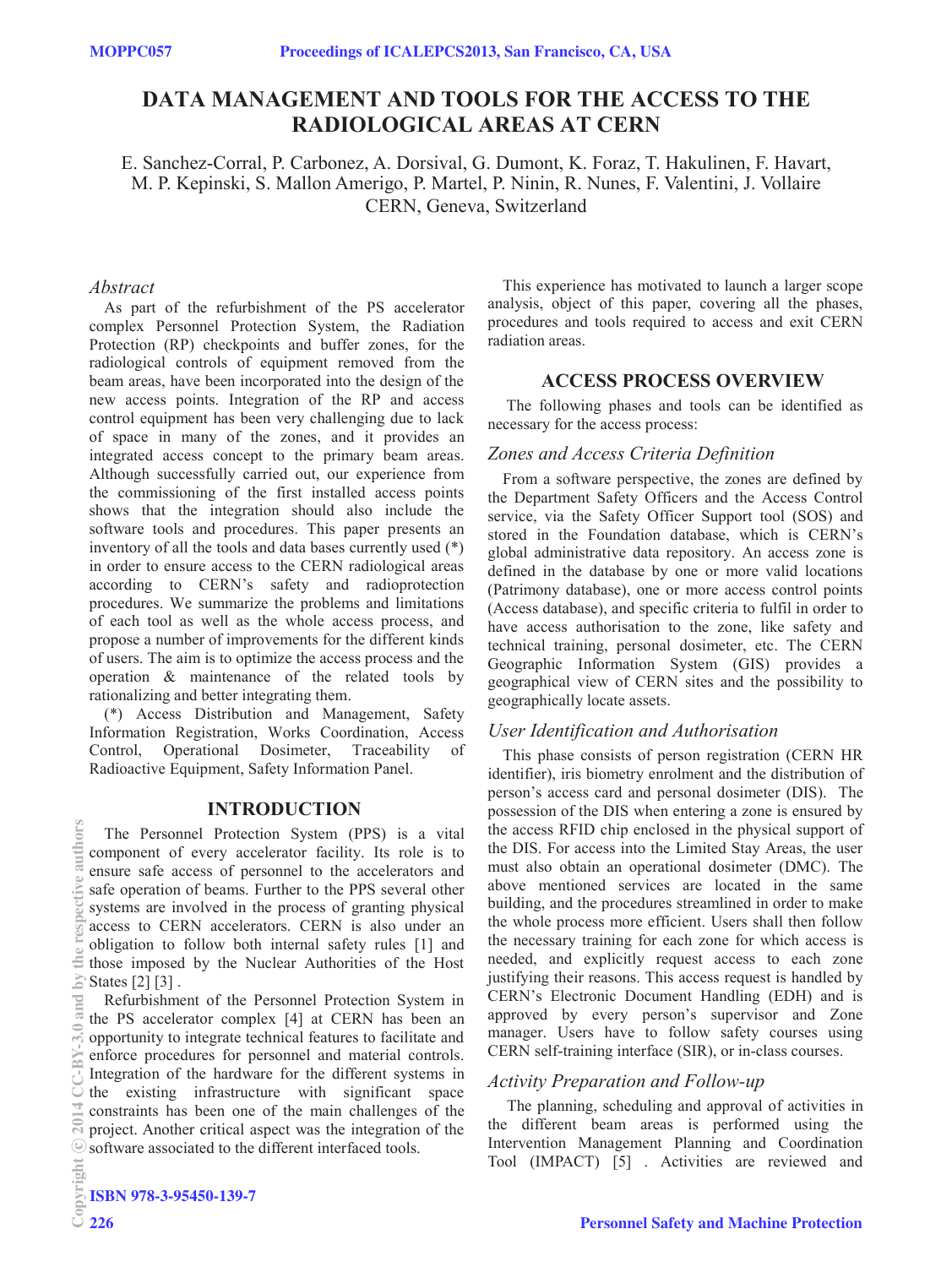# **DATA MANAGEMENT AND TOOLS FOR THE ACCESS TO THE RADIOLOGICAL AREAS AT CERN**

E. Sanchez-Corral, P. Carbonez, A. Dorsival, G. Dumont, K. Foraz, T. Hakulinen, F. Havart, M. P. Kepinski, S. Mallon Amerigo, P. Martel, P. Ninin, R. Nunes, F. Valentini, J. Vollaire CERN, Geneva, Switzerland

## *Abstract*

As part of the refurbishment of the PS accelerator complex Personnel Protection System, the Radiation Protection (RP) checkpoints and buffer zones, for the radiological controls of equipment removed from the beam areas, have been incorporated into the design of the new access points. Integration of the RP and access control equipment has been very challenging due to lack of space in many of the zones, and it provides an integrated access concept to the primary beam areas. Although successfully carried out, our experience from the commissioning of the first installed access points shows that the integration should also include the software tools and procedures. This paper presents an inventory of all the tools and data bases currently used (\*) in order to ensure access to the CERN radiological areas according to CERN's safety and radioprotection procedures. We summarize the problems and limitations of each tool as well as the whole access process, and propose a number of improvements for the different kinds of users. The aim is to optimize the access process and the operation & maintenance of the related tools by rationalizing and better integrating them.

(\*) Access Distribution and Management, Safety Information Registration, Works Coordination, Access Control, Operational Dosimeter, Traceability of Radioactive Equipment, Safety Information Panel.

## **INTRODUCTION**

The Personnel Protection System (PPS) is a vital component of every accelerator facility. Its role is to ensure safe access of personnel to the accelerators and  $\geq$  safe operation of beams. Further to the PPS several other systems are involved in the process of granting physical access to CERN accelerators. CERN is also under an obligation to follow both internal safety rules [1] and those imposed by the Nuclear Authorities of the Host  $\geq$  States [2] [3].

Refurbishment of the Personnel Protection System in the PS accelerator complex [4] at CERN has been an opportunity to integrate technical features to facilitate and enforce procedures for personnel and material controls. Integration of the hardware for the different systems in the existing infrastructure with significant space constraints has been one of the main challenges of the project. Another critical aspect was the integration of the software associated to the different interfaced tools.

This experience has motivated to launch a larger scope analysis, object of this paper, covering all the phases, procedures and tools required to access and exit CERN radiation areas.

# **ACCESS PROCESS OVERVIEW**

 The following phases and tools can be identified as necessary for the access process:

# *Zones and Access Criteria Definition*

From a software perspective, the zones are defined by the Department Safety Officers and the Access Control service, via the Safety Officer Support tool (SOS) and stored in the Foundation database, which is CERN's global administrative data repository. An access zone is defined in the database by one or more valid locations (Patrimony database), one or more access control points (Access database), and specific criteria to fulfil in order to have access authorisation to the zone, like safety and technical training, personal dosimeter, etc. The CERN Geographic Information System (GIS) provides a geographical view of CERN sites and the possibility to geographically locate assets.

# *User Identification and Authorisation*

This phase consists of person registration (CERN HR identifier), iris biometry enrolment and the distribution of person's access card and personal dosimeter (DIS). The possession of the DIS when entering a zone is ensured by the access RFID chip enclosed in the physical support of the DIS. For access into the Limited Stay Areas, the user must also obtain an operational dosimeter (DMC). The above mentioned services are located in the same building, and the procedures streamlined in order to make the whole process more efficient. Users shall then follow the necessary training for each zone for which access is needed, and explicitly request access to each zone justifying their reasons. This access request is handled by CERN's Electronic Document Handling (EDH) and is approved by every person's supervisor and Zone manager. Users have to follow safety courses using CERN self-training interface (SIR), or in-class courses.

## *Activity Preparation and Follow-up*

 The planning, scheduling and approval of activities in the different beam areas is performed using the Intervention Management Planning and Coordination Tool (IMPACT) [5] . Activities are reviewed and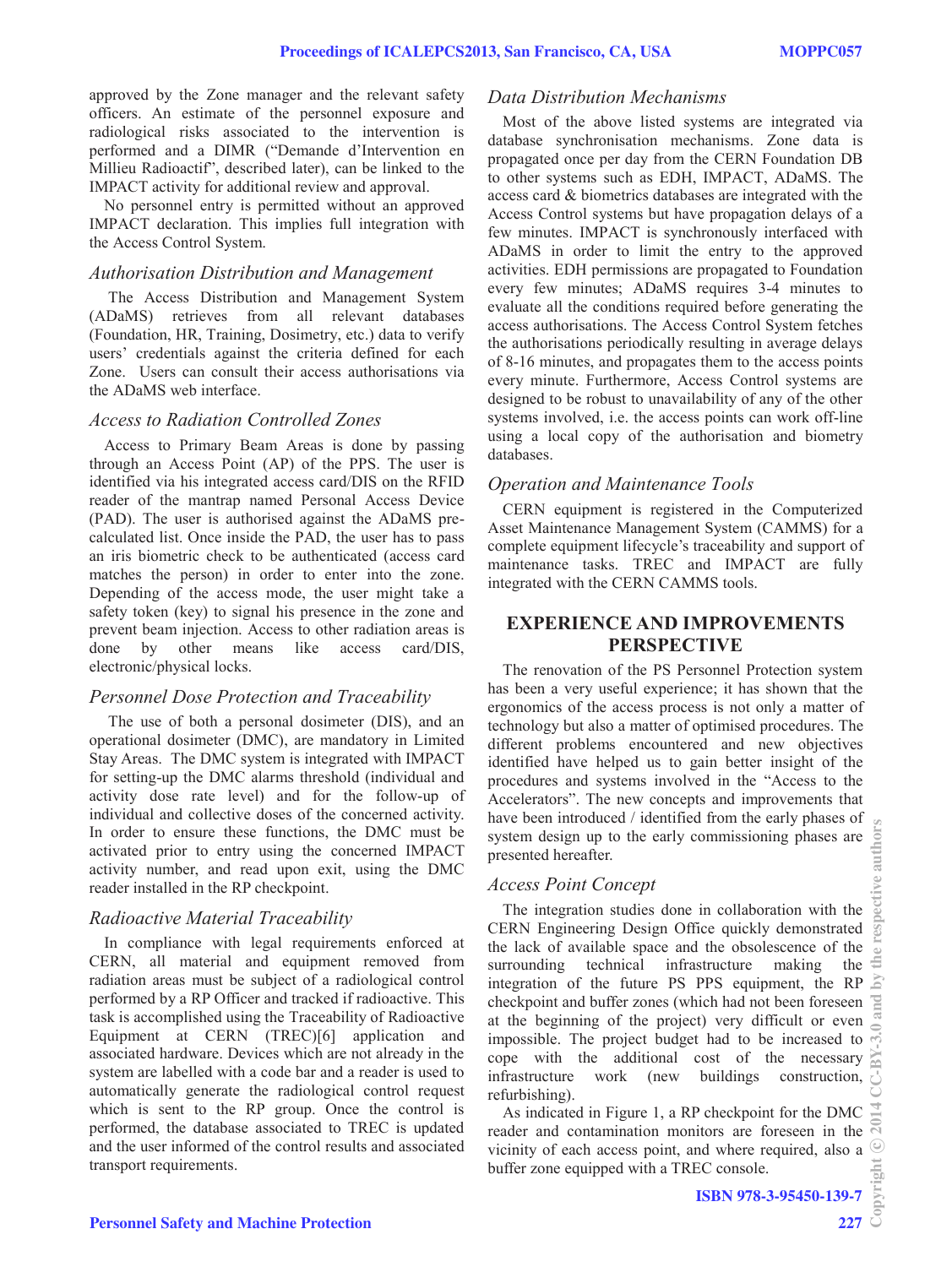approved by the Zone manager and the relevant safety officers. An estimate of the personnel exposure and radiological risks associated to the intervention is performed and a DIMR ("Demande d'Intervention en Millieu Radioactif", described later), can be linked to the IMPACT activity for additional review and approval.

No personnel entry is permitted without an approved IMPACT declaration. This implies full integration with the Access Control System.

#### *Authorisation Distribution and Management*

 The Access Distribution and Management System (ADaMS) retrieves from all relevant databases (Foundation, HR, Training, Dosimetry, etc.) data to verify users' credentials against the criteria defined for each Zone. Users can consult their access authorisations via the ADaMS web interface.

#### *Access to Radiation Controlled Zones*

Access to Primary Beam Areas is done by passing through an Access Point (AP) of the PPS. The user is identified via his integrated access card/DIS on the RFID reader of the mantrap named Personal Access Device (PAD). The user is authorised against the ADaMS precalculated list. Once inside the PAD, the user has to pass an iris biometric check to be authenticated (access card matches the person) in order to enter into the zone. Depending of the access mode, the user might take a safety token (key) to signal his presence in the zone and prevent beam injection. Access to other radiation areas is done by other means like access card/DIS, electronic/physical locks.

#### *Personnel Dose Protection and Traceability*

 The use of both a personal dosimeter (DIS), and an operational dosimeter (DMC), are mandatory in Limited Stay Areas. The DMC system is integrated with IMPACT for setting-up the DMC alarms threshold (individual and activity dose rate level) and for the follow-up of individual and collective doses of the concerned activity. In order to ensure these functions, the DMC must be activated prior to entry using the concerned IMPACT activity number, and read upon exit, using the DMC reader installed in the RP checkpoint.

## *Radioactive Material Traceability*

In compliance with legal requirements enforced at CERN, all material and equipment removed from radiation areas must be subject of a radiological control performed by a RP Officer and tracked if radioactive. This task is accomplished using the Traceability of Radioactive Equipment at CERN (TREC)[6] application and associated hardware. Devices which are not already in the system are labelled with a code bar and a reader is used to automatically generate the radiological control request which is sent to the RP group. Once the control is performed, the database associated to TREC is updated and the user informed of the control results and associated transport requirements.

#### *Data Distribution Mechanisms*

Most of the above listed systems are integrated via database synchronisation mechanisms. Zone data is propagated once per day from the CERN Foundation DB to other systems such as EDH, IMPACT, ADaMS. The access card & biometrics databases are integrated with the Access Control systems but have propagation delays of a few minutes. IMPACT is synchronously interfaced with ADaMS in order to limit the entry to the approved activities. EDH permissions are propagated to Foundation every few minutes; ADaMS requires 3-4 minutes to evaluate all the conditions required before generating the access authorisations. The Access Control System fetches the authorisations periodically resulting in average delays of 8-16 minutes, and propagates them to the access points every minute. Furthermore, Access Control systems are designed to be robust to unavailability of any of the other systems involved, i.e. the access points can work off-line using a local copy of the authorisation and biometry databases.

## *Operation and Maintenance Tools*

CERN equipment is registered in the Computerized Asset Maintenance Management System (CAMMS) for a complete equipment lifecycle's traceability and support of maintenance tasks. TREC and IMPACT are fully integrated with the CERN CAMMS tools.

# **EXPERIENCE AND IMPROVEMENTS PERSPECTIVE**

The renovation of the PS Personnel Protection system has been a very useful experience; it has shown that the ergonomics of the access process is not only a matter of technology but also a matter of optimised procedures. The different problems encountered and new objectives identified have helped us to gain better insight of the procedures and systems involved in the "Access to the Accelerators". The new concepts and improvements that have been introduced / identified from the early phases of system design up to the early commissioning phases are presented hereafter.

## *Access Point Concept*

The integration studies done in collaboration with the CERN Engineering Design Office quickly demonstrated the lack of available space and the obsolescence of the surrounding technical infrastructure making the integration of the future PS PPS equipment, the RP checkpoint and buffer zones (which had not been foreseen at the beginning of the project) very difficult or even at the beginning of the project) very difficult or even impossible. The project budget had to be increased to  $\frac{1}{12}$ cope with the additional cost of the necessary infrastructure work (new buildings construction, refurbishing).

As indicated in Figure 1, a RP checkpoint for the DMC reader and contamination monitors are foreseen in the vicinity of each access point, and where required, also a buffer zone equipped with a TREC console.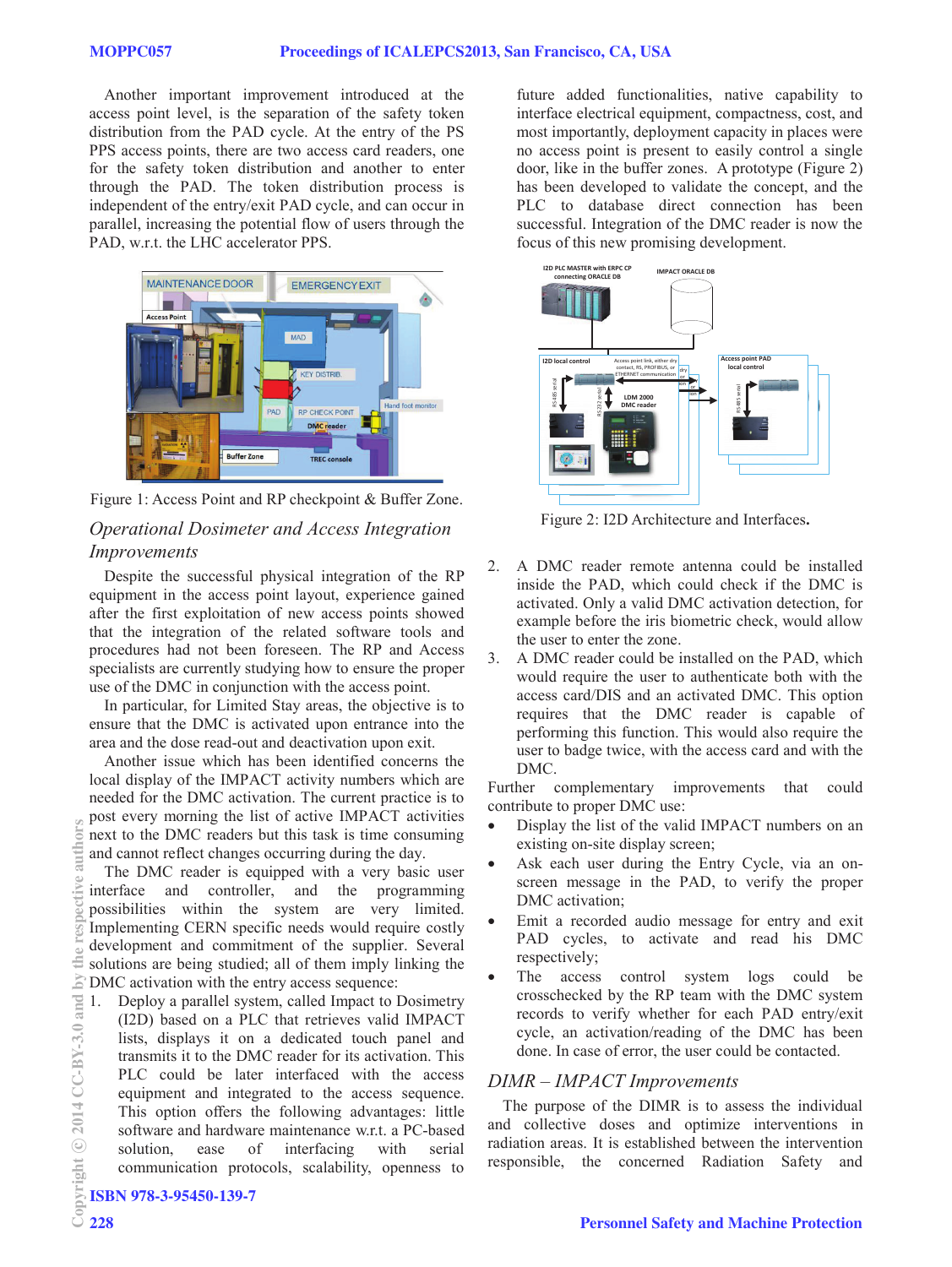Another important improvement introduced at the access point level, is the separation of the safety token distribution from the PAD cycle. At the entry of the PS PPS access points, there are two access card readers, one for the safety token distribution and another to enter through the PAD. The token distribution process is independent of the entry/exit PAD cycle, and can occur in parallel, increasing the potential flow of users through the PAD, w.r.t. the LHC accelerator PPS.



Figure 1: Access Point and RP checkpoint & Buffer Zone.

# *Operational Dosimeter and Access Integration Improvements*

Despite the successful physical integration of the RP equipment in the access point layout, experience gained after the first exploitation of new access points showed that the integration of the related software tools and procedures had not been foreseen. The RP and Access specialists are currently studying how to ensure the proper use of the DMC in conjunction with the access point.

In particular, for Limited Stay areas, the objective is to ensure that the DMC is activated upon entrance into the area and the dose read-out and deactivation upon exit.

Another issue which has been identified concerns the local display of the IMPACT activity numbers which are needed for the DMC activation. The current practice is to post every morning the list of active IMPACT activities next to the DMC readers but this task is time consuming and cannot reflect changes occurring during the day.

The DMC reader is equipped with a very basic user interface and controller, and the programming possibilities within the system are very limited. Implementing CERN specific needs would require costly development and commitment of the supplier. Several solutions are being studied; all of them imply linking the DMC activation with the entry access sequence:

1. Deploy a parallel system, called Impact to Dosimetry (I2D) based on a PLC that retrieves valid IMPACT lists, displays it on a dedicated touch panel and transmits it to the DMC reader for its activation. This PLC could be later interfaced with the access equipment and integrated to the access sequence. This option offers the following advantages: little software and hardware maintenance w.r.t. a PC-based solution, ease of interfacing with serial communication protocols, scalability, openness to

future added functionalities, native capability to interface electrical equipment, compactness, cost, and most importantly, deployment capacity in places were no access point is present to easily control a single door, like in the buffer zones. A prototype (Figure 2) has been developed to validate the concept, and the PLC to database direct connection has been successful. Integration of the DMC reader is now the focus of this new promising development.



Figure 2: I2D Architecture and Interfaces**.** 

- 2. A DMC reader remote antenna could be installed inside the PAD, which could check if the DMC is activated. Only a valid DMC activation detection, for example before the iris biometric check, would allow the user to enter the zone.
- 3. A DMC reader could be installed on the PAD, which would require the user to authenticate both with the access card/DIS and an activated DMC. This option requires that the DMC reader is capable of performing this function. This would also require the user to badge twice, with the access card and with the DMC.

Further complementary improvements that could contribute to proper DMC use:

- Display the list of the valid IMPACT numbers on an existing on-site display screen;
- Ask each user during the Entry Cycle, via an onscreen message in the PAD, to verify the proper DMC activation;
- Emit a recorded audio message for entry and exit PAD cycles, to activate and read his DMC respectively;
- The access control system logs could be crosschecked by the RP team with the DMC system records to verify whether for each PAD entry/exit cycle, an activation/reading of the DMC has been done. In case of error, the user could be contacted.

#### *DIMR – IMPACT Improvements*

The purpose of the DIMR is to assess the individual and collective doses and optimize interventions in radiation areas. It is established between the intervention responsible, the concerned Radiation Safety and